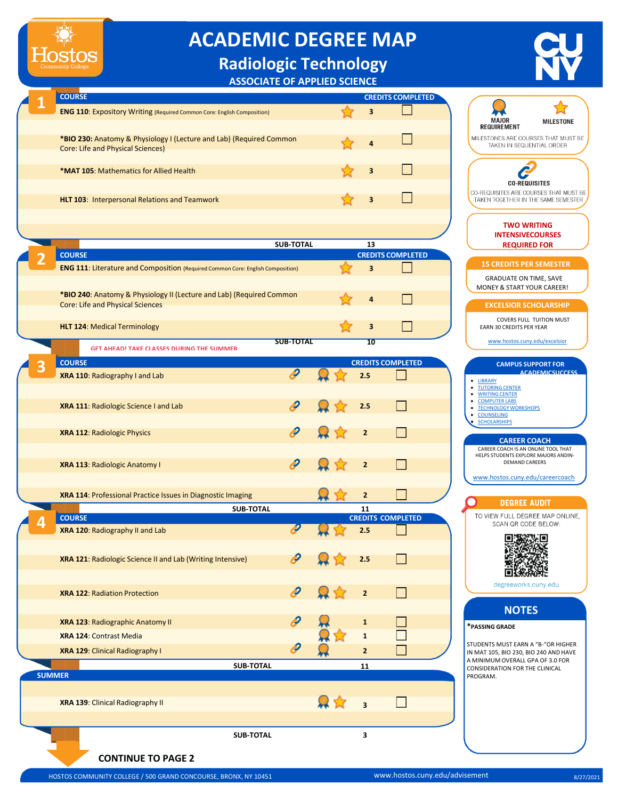## **ACADEMIC DEGREE MAP**

## **Radiologic Technology**

**ASSOCIATE OF APPLIED SCIENCE**

|  | <b>COURSE</b>                                                                                                   | <b>CREDITS COMPLETED</b> |   |  |  |
|--|-----------------------------------------------------------------------------------------------------------------|--------------------------|---|--|--|
|  | <b>ENG 110: Expository Writing (Required Common Core: English Composition)</b>                                  |                          | 3 |  |  |
|  |                                                                                                                 |                          |   |  |  |
|  | *BIO 230: Anatomy & Physiology I (Lecture and Lab) (Required Common<br><b>Core: Life and Physical Sciences)</b> |                          | 4 |  |  |
|  |                                                                                                                 |                          |   |  |  |
|  | <b>*MAT 105: Mathematics for Allied Health</b>                                                                  |                          | 3 |  |  |
|  |                                                                                                                 |                          |   |  |  |
|  | <b>HLT 103: Interpersonal Relations and Teamwork</b>                                                            |                          |   |  |  |
|  |                                                                                                                 |                          |   |  |  |

|  |                                                                                        | <b>SUB-TOTAL</b> | 13 |                          | <b>INTENSIVECOURSES</b><br><b>REQUIRED FOR</b>                         |
|--|----------------------------------------------------------------------------------------|------------------|----|--------------------------|------------------------------------------------------------------------|
|  | <b>COURSE</b>                                                                          |                  |    | <b>CREDITS COMPLETED</b> |                                                                        |
|  | <b>ENG 111: Literature and Composition (Required Common Core: English Composition)</b> |                  | 3  |                          | <b>15 CREDITS PER SEMESTER</b>                                         |
|  |                                                                                        |                  |    |                          | <b>GRADUATE ON TIME, SAVE</b><br><b>MONEY &amp; START YOUR CAREER!</b> |
|  | *BIO 240: Anatomy & Physiology II (Lecture and Lab) (Required Common                   |                  | 4  |                          |                                                                        |
|  | <b>Core: Life and Physical Sciences</b>                                                |                  |    |                          | <b>EXCELSIOR SCHOLARSHIP</b>                                           |
|  |                                                                                        |                  |    |                          | <b>COVERS FULL TUITION MUST</b>                                        |
|  | <b>HLT 124: Medical Terminology</b>                                                    |                  | 3  |                          | <b>EARN 30 CREDITS PER YEAR</b>                                        |
|  |                                                                                        | <b>SUB TOTAL</b> | 10 |                          | www.hostos.cuny.edu/excelsior                                          |

**GET AHEAD! TAKE CLASSES DURING THE SUMMER**

|   | <b>GET AHEADI TAKE CLASSES DURING THE SUMMER</b>            |   |                         |                          |                                                                  |
|---|-------------------------------------------------------------|---|-------------------------|--------------------------|------------------------------------------------------------------|
| 3 | <b>COURSE</b>                                               |   |                         | <b>CREDITS COMPLETED</b> | <b>CAMPUS SUPPOI</b>                                             |
|   | XRA 110: Radiography I and Lab                              | P | 2.5                     |                          | <b>ACADEM</b><br>· LIBRARY                                       |
|   |                                                             |   |                         |                          | <b>TUTORING CENTER</b><br>٠<br><b>WRITING CENTER</b>             |
|   | XRA 111: Radiologic Science I and Lab                       | ê | 2.5                     |                          | <b>COMPUTER LABS</b><br><b>TECHNOLOGY WORKSHOPS</b><br>$\bullet$ |
|   |                                                             |   |                         |                          | <b>COUNSELING</b><br>$\bullet$<br><b>SCHOLARSHIPS</b>            |
|   | XRA 112: Radiologic Physics                                 | ê | $\overline{2}$          |                          |                                                                  |
|   |                                                             |   |                         |                          | <b>CAREER COAC</b><br>CAREER COACH IS AN ONLINE                  |
|   | XRA 113: Radiologic Anatomy I                               | ê | $\overline{2}$          |                          | HELPS STUDENTS EXPLORE MA<br><b>DEMAND CAREERS</b>               |
|   |                                                             |   |                         |                          | www.hostos.cuny.edu/ca                                           |
|   | XRA 114: Professional Practice Issues in Diagnostic Imaging |   | $\overline{2}$          |                          |                                                                  |
|   | <b>SUB-TOTAL</b>                                            |   | 11                      |                          | <b>DEGREE AUDI</b>                                               |
|   | <b>COURSE</b>                                               |   |                         | <b>CREDITS COMPLETED</b> | TO VIEW FULL DEGREE M                                            |
| 4 | XRA 120: Radiography II and Lab                             |   | 2.5                     |                          | SCAN QR CODE BE                                                  |
|   |                                                             |   |                         |                          |                                                                  |
|   | XRA 121: Radiologic Science II and Lab (Writing Intensive)  | Ð | 2.5                     |                          |                                                                  |
|   |                                                             |   |                         |                          |                                                                  |
|   | <b>XRA 122: Radiation Protection</b>                        | ê | $\overline{2}$          |                          | degreeworks.cuny                                                 |
|   |                                                             |   |                         |                          |                                                                  |
|   |                                                             | ê |                         |                          | <b>NOTES</b>                                                     |
|   | XRA 123: Radiographic Anatomy II                            |   | $\mathbf 1$             |                          | *PASSING GRADE                                                   |
|   | XRA 124: Contrast Media                                     |   | $\mathbf{1}$            |                          | STUDENTS MUST EARN A "B-'                                        |
|   | XRA 129: Clinical Radiography I                             |   | $\overline{2}$          |                          | IN MAT 105, BIO 230, BIO 240<br>A MINIMUM OVERALL GPA OI         |
|   | <b>SUB-TOTAL</b>                                            |   | 11                      |                          | <b>CONSIDERATION FOR THE CLI</b>                                 |
|   | <b>SUMMER</b>                                               |   |                         |                          | PROGRAM.                                                         |
|   | XRA 139: Clinical Radiography II                            |   |                         |                          |                                                                  |
|   |                                                             |   | $\overline{\mathbf{3}}$ |                          |                                                                  |
|   |                                                             |   |                         |                          |                                                                  |
|   | <b>SUB-TOTAL</b>                                            |   | 3                       |                          |                                                                  |



## **CONTINUE TO PAGE 2**